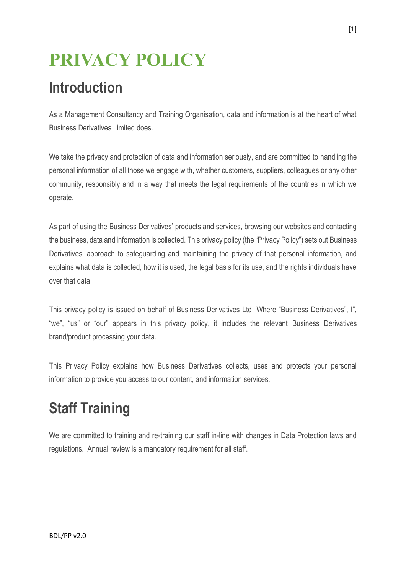# **PRIVACY POLICY**

## **Introduction**

As a Management Consultancy and Training Organisation, data and information is at the heart of what Business Derivatives Limited does.

We take the privacy and protection of data and information seriously, and are committed to handling the personal information of all those we engage with, whether customers, suppliers, colleagues or any other community, responsibly and in a way that meets the legal requirements of the countries in which we operate.

As part of using the Business Derivatives' products and services, browsing our websites and contacting the business, data and information is collected. This privacy policy (the "Privacy Policy") sets out Business Derivatives' approach to safeguarding and maintaining the privacy of that personal information, and explains what data is collected, how it is used, the legal basis for its use, and the rights individuals have over that data.

This privacy policy is issued on behalf of Business Derivatives Ltd. Where "Business Derivatives", I", "we", "us" or "our" appears in this privacy policy, it includes the relevant Business Derivatives brand/product processing your data.

This Privacy Policy explains how Business Derivatives collects, uses and protects your personal information to provide you access to our content, and information services.

## **Staff Training**

We are committed to training and re-training our staff in-line with changes in Data Protection laws and regulations. Annual review is a mandatory requirement for all staff.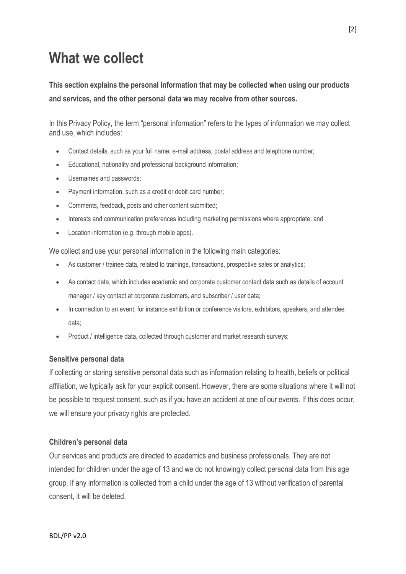## **What we collect**

**This section explains the personal information that may be collected when using our products and services, and the other personal data we may receive from other sources.** 

In this Privacy Policy, the term "personal information" refers to the types of information we may collect and use, which includes:

- Contact details, such as your full name, e-mail address, postal address and telephone number;
- Educational, nationality and professional background information;
- Usernames and passwords;
- Payment information, such as a credit or debit card number;
- Comments, feedback, posts and other content submitted;
- Interests and communication preferences including marketing permissions where appropriate; and
- Location information (e.g. through mobile apps).

We collect and use your personal information in the following main categories:

- As customer / trainee data, related to trainings, transactions, prospective sales or analytics;
- As contact data, which includes academic and corporate customer contact data such as details of account manager / key contact at corporate customers, and subscriber / user data;
- In connection to an event, for instance exhibition or conference visitors, exhibitors, speakers, and attendee data;
- Product / intelligence data, collected through customer and market research surveys;

#### **Sensitive personal data**

If collecting or storing sensitive personal data such as information relating to health, beliefs or political affiliation, we typically ask for your explicit consent. However, there are some situations where it will not be possible to request consent, such as if you have an accident at one of our events. If this does occur, we will ensure your privacy rights are protected.

#### **Children's personal data**

Our services and products are directed to academics and business professionals. They are not intended for children under the age of 13 and we do not knowingly collect personal data from this age group. If any information is collected from a child under the age of 13 without verification of parental consent, it will be deleted.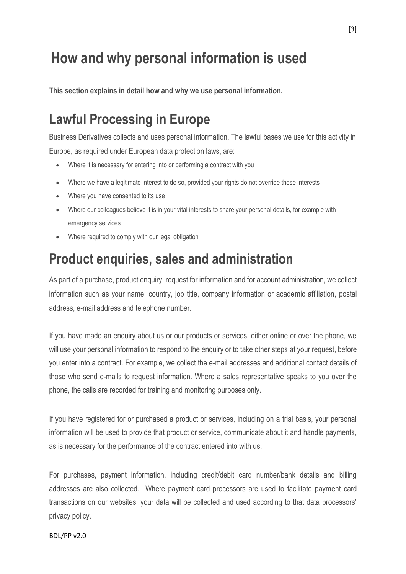## **How and why personal information is used**

**This section explains in detail how and why we use personal information.**

### **Lawful Processing in Europe**

Business Derivatives collects and uses personal information. The lawful bases we use for this activity in Europe, as required under European data protection laws, are:

- Where it is necessary for entering into or performing a contract with you
- Where we have a legitimate interest to do so, provided your rights do not override these interests
- Where you have consented to its use
- Where our colleagues believe it is in your vital interests to share your personal details, for example with emergency services
- Where required to comply with our legal obligation

#### **Product enquiries, sales and administration**

As part of a purchase, product enquiry, request for information and for account administration, we collect information such as your name, country, job title, company information or academic affiliation, postal address, e-mail address and telephone number.

If you have made an enquiry about us or our products or services, either online or over the phone, we will use your personal information to respond to the enquiry or to take other steps at your request, before you enter into a contract. For example, we collect the e-mail addresses and additional contact details of those who send e-mails to request information. Where a sales representative speaks to you over the phone, the calls are recorded for training and monitoring purposes only.

If you have registered for or purchased a product or services, including on a trial basis, your personal information will be used to provide that product or service, communicate about it and handle payments, as is necessary for the performance of the contract entered into with us.

For purchases, payment information, including credit/debit card number/bank details and billing addresses are also collected. Where payment card processors are used to facilitate payment card transactions on our websites, your data will be collected and used according to that data processors' privacy policy.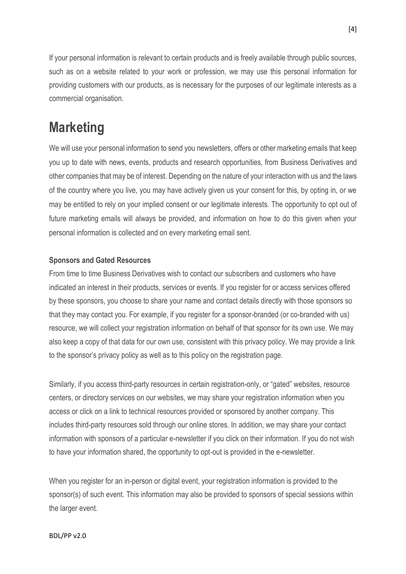If your personal information is relevant to certain products and is freely available through public sources, such as on a website related to your work or profession, we may use this personal information for providing customers with our products, as is necessary for the purposes of our legitimate interests as a commercial organisation.

#### **Marketing**

We will use your personal information to send you newsletters, offers or other marketing emails that keep you up to date with news, events, products and research opportunities, from Business Derivatives and other companies that may be of interest. Depending on the nature of your interaction with us and the laws of the country where you live, you may have actively given us your consent for this, by opting in, or we may be entitled to rely on your implied consent or our legitimate interests. The opportunity to opt out of future marketing emails will always be provided, and information on how to do this given when your personal information is collected and on every marketing email sent.

#### **Sponsors and Gated Resources**

From time to time Business Derivatives wish to contact our subscribers and customers who have indicated an interest in their products, services or events. If you register for or access services offered by these sponsors, you choose to share your name and contact details directly with those sponsors so that they may contact you. For example, if you register for a sponsor-branded (or co-branded with us) resource, we will collect your registration information on behalf of that sponsor for its own use. We may also keep a copy of that data for our own use, consistent with this privacy policy. We may provide a link to the sponsor's privacy policy as well as to this policy on the registration page.

Similarly, if you access third-party resources in certain registration-only, or "gated" websites, resource centers, or directory services on our websites, we may share your registration information when you access or click on a link to technical resources provided or sponsored by another company. This includes third-party resources sold through our online stores. In addition, we may share your contact information with sponsors of a particular e-newsletter if you click on their information. If you do not wish to have your information shared, the opportunity to opt-out is provided in the e-newsletter.

When you register for an in-person or digital event, your registration information is provided to the sponsor(s) of such event. This information may also be provided to sponsors of special sessions within the larger event.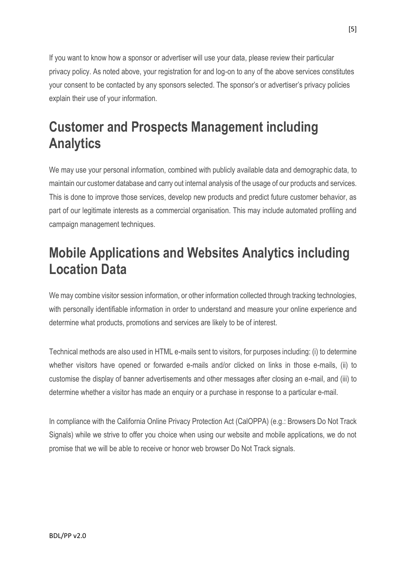If you want to know how a sponsor or advertiser will use your data, please review their particular privacy policy. As noted above, your registration for and log-on to any of the above services constitutes your consent to be contacted by any sponsors selected. The sponsor's or advertiser's privacy policies explain their use of your information.

### **Customer and Prospects Management including Analytics**

We may use your personal information, combined with publicly available data and demographic data, to maintain our customer database and carry out internal analysis of the usage of our products and services. This is done to improve those services, develop new products and predict future customer behavior, as part of our legitimate interests as a commercial organisation. This may include automated profiling and campaign management techniques.

#### **Mobile Applications and Websites Analytics including Location Data**

We may combine visitor session information, or other information collected through tracking technologies, with personally identifiable information in order to understand and measure your online experience and determine what products, promotions and services are likely to be of interest.

Technical methods are also used in HTML e-mails sent to visitors, for purposes including: (i) to determine whether visitors have opened or forwarded e-mails and/or clicked on links in those e-mails, (ii) to customise the display of banner advertisements and other messages after closing an e-mail, and (iii) to determine whether a visitor has made an enquiry or a purchase in response to a particular e-mail.

In compliance with the California Online Privacy Protection Act (CalOPPA) (e.g.: Browsers Do Not Track Signals) while we strive to offer you choice when using our website and mobile applications, we do not promise that we will be able to receive or honor web browser Do Not Track signals.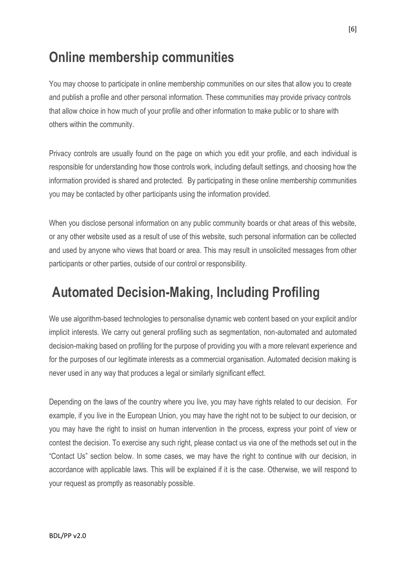#### **Online membership communities**

You may choose to participate in online membership communities on our sites that allow you to create and publish a profile and other personal information. These communities may provide privacy controls that allow choice in how much of your profile and other information to make public or to share with others within the community.

Privacy controls are usually found on the page on which you edit your profile, and each individual is responsible for understanding how those controls work, including default settings, and choosing how the information provided is shared and protected. By participating in these online membership communities you may be contacted by other participants using the information provided.

When you disclose personal information on any public community boards or chat areas of this website, or any other website used as a result of use of this website, such personal information can be collected and used by anyone who views that board or area. This may result in unsolicited messages from other participants or other parties, outside of our control or responsibility.

#### **Automated Decision-Making, Including Profiling**

We use algorithm-based technologies to personalise dynamic web content based on your explicit and/or implicit interests. We carry out general profiling such as segmentation, non-automated and automated decision-making based on profiling for the purpose of providing you with a more relevant experience and for the purposes of our legitimate interests as a commercial organisation. Automated decision making is never used in any way that produces a legal or similarly significant effect.

Depending on the laws of the country where you live, you may have rights related to our decision. For example, if you live in the European Union, you may have the right not to be subject to our decision, or you may have the right to insist on human intervention in the process, express your point of view or contest the decision. To exercise any such right, please contact us via one of the methods set out in the "Contact Us" section below. In some cases, we may have the right to continue with our decision, in accordance with applicable laws. This will be explained if it is the case. Otherwise, we will respond to your request as promptly as reasonably possible.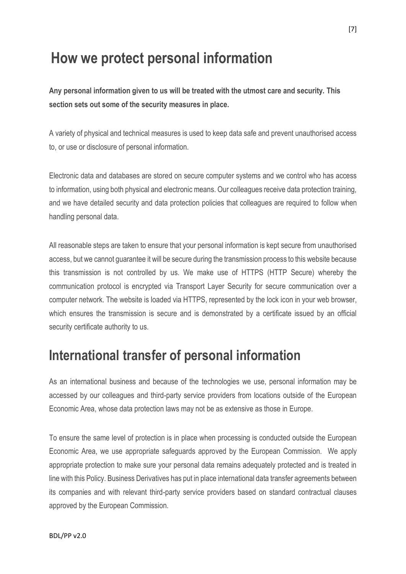### **How we protect personal information**

**Any personal information given to us will be treated with the utmost care and security. This section sets out some of the security measures in place.**

A variety of physical and technical measures is used to keep data safe and prevent unauthorised access to, or use or disclosure of personal information.

Electronic data and databases are stored on secure computer systems and we control who has access to information, using both physical and electronic means. Our colleagues receive data protection training, and we have detailed security and data protection policies that colleagues are required to follow when handling personal data.

All reasonable steps are taken to ensure that your personal information is kept secure from unauthorised access, but we cannot guarantee it will be secure during the transmission process to this website because this transmission is not controlled by us. We make use of HTTPS (HTTP Secure) whereby the communication protocol is encrypted via Transport Layer Security for secure communication over a computer network. The website is loaded via HTTPS, represented by the lock icon in your web browser, which ensures the transmission is secure and is demonstrated by a certificate issued by an official security certificate authority to us.

#### **International transfer of personal information**

As an international business and because of the technologies we use, personal information may be accessed by our colleagues and third-party service providers from locations outside of the European Economic Area, whose data protection laws may not be as extensive as those in Europe.

To ensure the same level of protection is in place when processing is conducted outside the European Economic Area, we use appropriate safeguards approved by the European Commission. We apply appropriate protection to make sure your personal data remains adequately protected and is treated in line with this Policy. Business Derivatives has put in place international data transfer agreements between its companies and with relevant third-party service providers based on standard contractual clauses approved by the European Commission.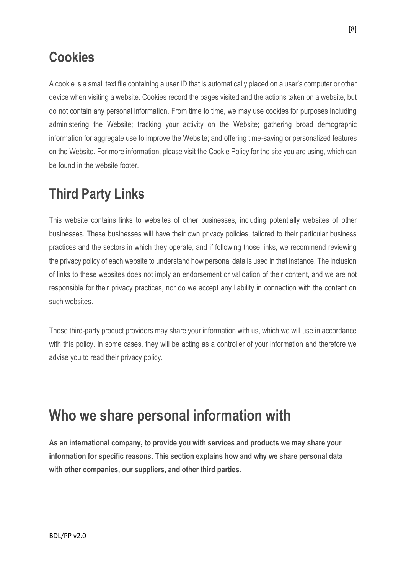### **Cookies**

A cookie is a small text file containing a user ID that is automatically placed on a user's computer or other device when visiting a website. Cookies record the pages visited and the actions taken on a website, but do not contain any personal information. From time to time, we may use cookies for purposes including administering the Website; tracking your activity on the Website; gathering broad demographic information for aggregate use to improve the Website; and offering time-saving or personalized features on the Website. For more information, please visit the Cookie Policy for the site you are using, which can be found in the website footer.

### **Third Party Links**

This website contains links to websites of other businesses, including potentially websites of other businesses. These businesses will have their own privacy policies, tailored to their particular business practices and the sectors in which they operate, and if following those links, we recommend reviewing the privacy policy of each website to understand how personal data is used in that instance. The inclusion of links to these websites does not imply an endorsement or validation of their content, and we are not responsible for their privacy practices, nor do we accept any liability in connection with the content on such websites.

These third-party product providers may share your information with us, which we will use in accordance with this policy. In some cases, they will be acting as a controller of your information and therefore we advise you to read their privacy policy.

## **Who we share personal information with**

**As an international company, to provide you with services and products we may share your information for specific reasons. This section explains how and why we share personal data with other companies, our suppliers, and other third parties.**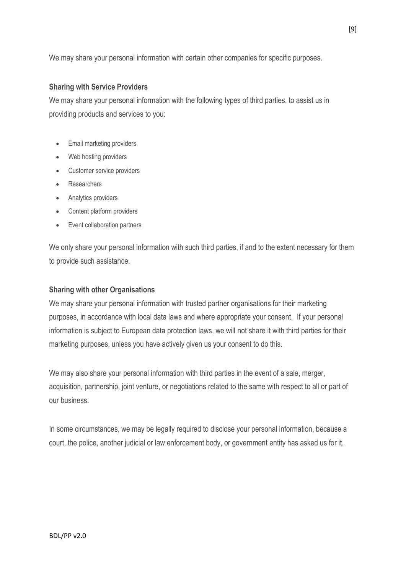We may share your personal information with certain other companies for specific purposes.

#### **Sharing with Service Providers**

We may share your personal information with the following types of third parties, to assist us in providing products and services to you:

- Email marketing providers
- Web hosting providers
- Customer service providers
- Researchers
- Analytics providers
- Content platform providers
- Event collaboration partners

We only share your personal information with such third parties, if and to the extent necessary for them to provide such assistance.

#### **Sharing with other Organisations**

We may share your personal information with trusted partner organisations for their marketing purposes, in accordance with local data laws and where appropriate your consent. If your personal information is subject to European data protection laws, we will not share it with third parties for their marketing purposes, unless you have actively given us your consent to do this.

We may also share your personal information with third parties in the event of a sale, merger, acquisition, partnership, joint venture, or negotiations related to the same with respect to all or part of our business.

In some circumstances, we may be legally required to disclose your personal information, because a court, the police, another judicial or law enforcement body, or government entity has asked us for it.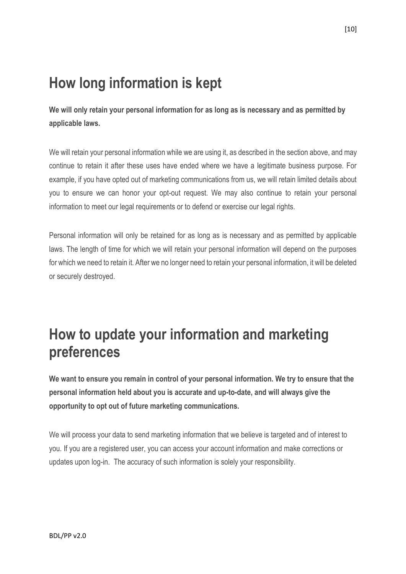## **How long information is kept**

**We will only retain your personal information for as long as is necessary and as permitted by applicable laws.**

We will retain your personal information while we are using it, as described in the section above, and may continue to retain it after these uses have ended where we have a legitimate business purpose. For example, if you have opted out of marketing communications from us, we will retain limited details about you to ensure we can honor your opt-out request. We may also continue to retain your personal information to meet our legal requirements or to defend or exercise our legal rights.

Personal information will only be retained for as long as is necessary and as permitted by applicable laws. The length of time for which we will retain your personal information will depend on the purposes for which we need to retain it. After we no longer need to retain your personal information, it will be deleted or securely destroyed.

## **How to update your information and marketing preferences**

**We want to ensure you remain in control of your personal information. We try to ensure that the personal information held about you is accurate and up-to-date, and will always give the opportunity to opt out of future marketing communications.** 

We will process your data to send marketing information that we believe is targeted and of interest to you. If you are a registered user, you can access your account information and make corrections or updates upon log-in. The accuracy of such information is solely your responsibility.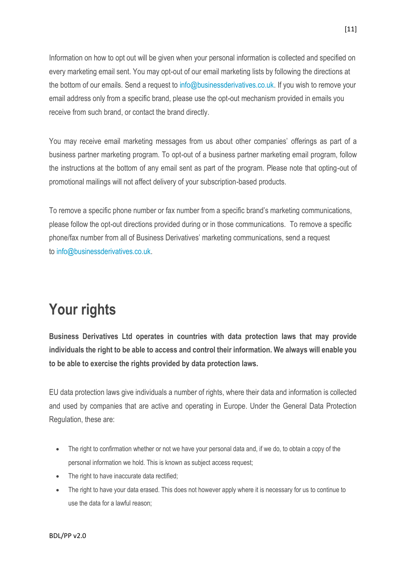Information on how to opt out will be given when your personal information is collected and specified on every marketing email sent. You may opt-out of our email marketing lists by following the directions at the bottom of our emails. Send a request to [info@businessderivatives.co.uk.](mailto:info@businessderivatives.co.uk) If you wish to remove your email address only from a specific brand, please use the opt-out mechanism provided in emails you receive from such brand, or contact the brand directly.

You may receive email marketing messages from us about other companies' offerings as part of a business partner marketing program. To opt-out of a business partner marketing email program, follow the instructions at the bottom of any email sent as part of the program. Please note that opting-out of promotional mailings will not affect delivery of your subscription-based products.

To remove a specific phone number or fax number from a specific brand's marketing communications, please follow the opt-out directions provided during or in those communications. To remove a specific phone/fax number from all of Business Derivatives' marketing communications, send a request to [info@businessderivatives.co.uk.](mailto:info@businessderivatives.co.uk)

### **Your rights**

**Business Derivatives Ltd operates in countries with data protection laws that may provide individuals the right to be able to access and control their information. We always will enable you to be able to exercise the rights provided by data protection laws.**

EU data protection laws give individuals a number of rights, where their data and information is collected and used by companies that are active and operating in Europe. Under the General Data Protection Regulation, these are:

- The right to confirmation whether or not we have your personal data and, if we do, to obtain a copy of the personal information we hold. This is known as subject access request;
- The right to have inaccurate data rectified;
- The right to have your data erased. This does not however apply where it is necessary for us to continue to use the data for a lawful reason;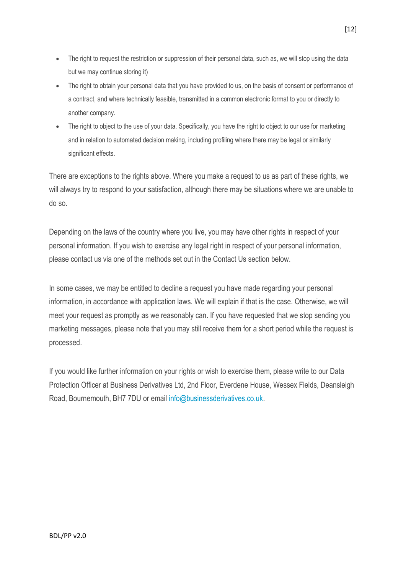- The right to request the restriction or suppression of their personal data, such as, we will stop using the data but we may continue storing it)
- The right to obtain your personal data that you have provided to us, on the basis of consent or performance of a contract, and where technically feasible, transmitted in a common electronic format to you or directly to another company.
- The right to object to the use of your data. Specifically, you have the right to object to our use for marketing and in relation to automated decision making, including profiling where there may be legal or similarly significant effects.

There are exceptions to the rights above. Where you make a request to us as part of these rights, we will always try to respond to your satisfaction, although there may be situations where we are unable to do so.

Depending on the laws of the country where you live, you may have other rights in respect of your personal information. If you wish to exercise any legal right in respect of your personal information, please contact us via one of the methods set out in the Contact Us section below.

In some cases, we may be entitled to decline a request you have made regarding your personal information, in accordance with application laws. We will explain if that is the case. Otherwise, we will meet your request as promptly as we reasonably can. If you have requested that we stop sending you marketing messages, please note that you may still receive them for a short period while the request is processed.

If you would like further information on your rights or wish to exercise them, please write to our Data Protection Officer at Business Derivatives Ltd, 2nd Floor, Everdene House, Wessex Fields, Deansleigh Road, Bournemouth, BH7 7DU or email [info@businessderivatives.co.uk.](mailto:info@businessderivatives.co.uk)